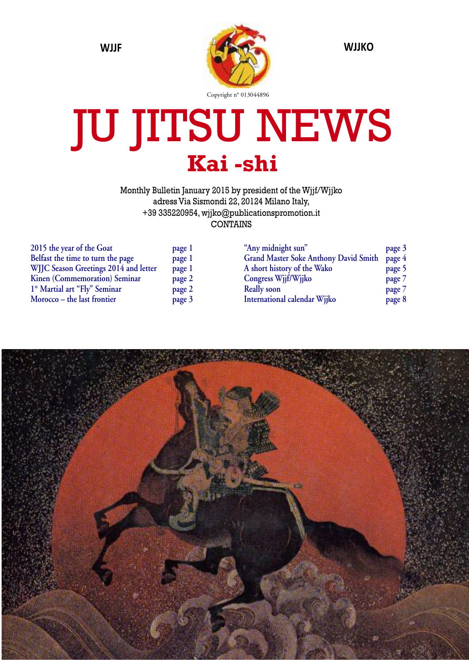

# JU JITSU NEWS **Kai -shi**

Monthly Bulletin January 2015 by president of the Wjjf/Wjjko adress Via Sismondi 22, 20124 Milano Italy, +39 335220954, wjjko@publicationspromotion.it CONTAINS

| 2015 the year of the Goat             | page 1 |
|---------------------------------------|--------|
| Belfast the time to turn the page     | page 1 |
| WJJC Season Greetings 2014 and letter | page 1 |
| Kinen (Commemoration) Seminar         | page 2 |
| 1° Martial art "Fly" Seminar          | page 2 |
| Morocco - the last frontier           | page 3 |

| "Any midnight sun"                           | page 3 |
|----------------------------------------------|--------|
| <b>Grand Master Soke Anthony David Smith</b> | page 4 |
| A short history of the Wako                  | page 5 |
| Congress Wjjf/Wjjko                          | page 7 |
| <b>Really soon</b>                           | page 7 |
| International calendar Wjjko                 | page 8 |

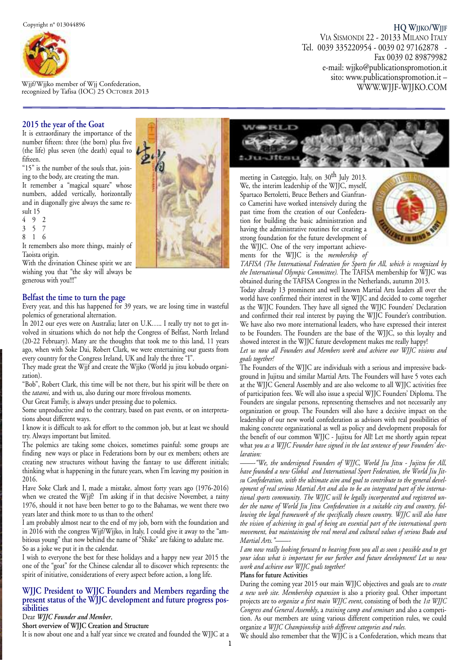

Wjjf/Wjjko member of Wjj Confederation, recognized by Tafisa (IOC) 25 OCTOBER 2013

#### **HQ WJJKO/WJJF**

VIA SISMONDI 22 - 20133 MILANO ITALY Tel. 0039 335220954 - 0039 02 97162878 - Fax 0039 02 89879982 e-mail: wjjko@publicationspromotion.it sito: www.publicationspromotion.it – WWW.WJJF-WJJKO.COM

#### **2015 the year of the Goat**

It is extraordinary the importance of the number fifteen: three (the born) plus five (the life) plus seven (the death) equal to fifteen.

"15" is the number of the souls that, joining to the body, are creating the man.

It remember a "magical square" whose numbers, added vertically, horizontally and in diagonally give always the same result 15

 $\begin{array}{ccc} 4 & 9 & 2 \\ 3 & 5 & 7 \end{array}$ 

- 3 5 7
- 8 1 6

It remembers also more things, mainly of Taoista origin.

With the divination Chinese spirit we are wishing you that "the sky will always be generous with you!!!"

#### **Belfast the time to turn the page**

Every year, and this has happened for 39 years, we are losing time in wasteful polemics of generational alternation.

In 2012 our eyes were on Australia; later on U.K….. I really try not to get involved in situations which do not help the Congress of Belfast, North Ireland (20-22 February). Many are the thoughts that took me to this land, 11 years ago, when with Soke Dai, Robert Clark, we were entertaining our guests from every country for the Congress Ireland, UK and Italy the three "I".

They made great the Wjjf and create the Wjjko (World ju jitsu kobudo organization).

"Bob", Robert Clark, this time will be not there, but his spirit will be there on the *tatami,* and with us, also during our more frivolous moments.

Our Great Family, is always under pressing due to polemics.

Some unproductive and to the contrary, based on past events, or on interpretations about different ways.

I know it is difficult to ask for effort to the common job, but at least we should try. Always important but limited.

The polemics are taking some choices, sometimes painful: some groups are finding new ways or place in Federations born by our ex members; others are creating new structures without having the fantasy to use different initials; thinking what is happening in the future years, when I'm leaving my position in 2016.

Have Soke Clark and I, made a mistake, almost forty years ago (1976-2016) when we created the Wjjf? I'm asking if in that decisive November, a rainy 1976, should it not have been better to go to the Bahamas, we went there two years later and think more to us than to the others!

I am probably almost near to the end of my job, born with the foundation and in 2016 with the congress Wjjf/Wjjko, in Italy, I could give it away to the "ambitious young" that now behind the name of "Shike" are faking to adulate me. So as a joke we put it in the calendar.

I wish to everyone the best for these holidays and a happy new year 2015 the one of the "goat" for the Chinese calendar all to discover which represents: the spirit of initiative, considerations of every aspect before action, a long life.

#### **WJJC President to WJJC Founders and Members regarding the present status of the WJJC development and future progress pos sibilities**

#### Dear *WJJC Founder and Member*,

**Short overview of WJJC Creation and Structure**

It is now about one and a half year since we created and founded the WJJC at a



meeting in Casteggio, Italy, on 30th July 2013. We, the interim leadership of the WJJC, myself, Spartaco Bertoletti, Bruce Bethers and Gianfranco Camerini have worked intensively during the past time from the creation of our Confederation for building the basic administration and having the administrative routines for creating a strong foundation for the future development of the WJJC. One of the very important achievements for the WJJC is the *membership of*



*TAFISA (The International Federation for Sports for All, which is recognized by the International Olympic Committee).* The TAFISA membership for WJJC was obtained during the TAFISA Congress in the Netherlands, autumn 2013.

Today already 13 prominent and well known Martial Arts leaders all over the world have confirmed their interest in the WJJC and decided to come together as the WJJC Founders. They have all signed the WJJC Founders' Declaration and confirmed their real interest by paying the WJJC Founder's contribution. We have also two more international leaders, who have expressed their interest to be Founders. The Founders are the base of the WJJC, so this loyalty and showed interest in the WJJC future development makes me really happy!

*Let us now all Founders and Members work and achieve our WJJC visions and goals together!*

The Founders of the WJJC are individuals with a serious and impressive background in Jujitsu and similar Martial Arts. The Founders will have 5 votes each at the WJJC General Assembly and are also welcome to all WJJC activities free of participation fees. We will also issue a special WJJC Founders' Diploma. The Founders are singular persons, representing themselves and not necessarily any organization or group. The Founders will also have a decisive impact on the leadership of our new world confederation as advisors with real possibilities of making concrete organizational as well as policy and development proposals for the benefit of our common WJJC - Jujitsu for All! Let me shortly again repeat what *you as a WJJC Founder have signed in the last sentence of your Founders' declaration:*

*——-"We, the undersigned Founders of WJJC, World Jiu Jitsu - Jujitsu for All, have founded a new Global and International Sport Federation, the World Jiu Jitsu Confederation, with the ultimate aim and goal to contribute to the general development of real serious Martial Art and also to be an integrated part of the international sports community. The WJJC will be legally incorporated and registered under the name of World Jiu Jitsu Confederation in a suitable city and country, following the legal framework of the specifically chosen country. WJJC will also have the vision of achieving its goal of being an essential part of the international sports movement, but maintaining the real moral and cultural values of serious Budo and Martial Arts."——-*

*I am now really looking forward to hearing from you all as soon s possible and to get your ideas what is important for our further and future development! Let us now work and achieve our WJJC goals together!*

#### **Plans for future Activities**

During the coming year 2015 our main WJJC objectives and goals are to *create a new web site. Membership expansion* is also a priority goal. Other important projects are to *organize a first main WJJC event*, consisting of both the *1st WJJC Congress and General Assembly*, a *training camp and seminars* and also a competition. As our members are using various different competition rules, we could organize *a WJJC Championship with different categories and rules.*

We should also remember that the WJJC is a Confederation, which means that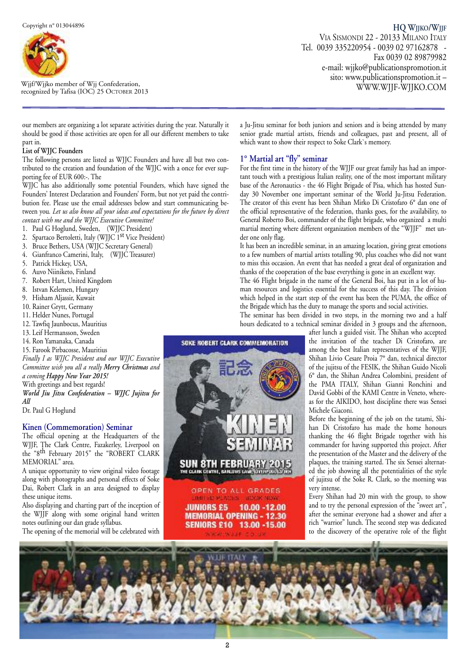

r W ec j o jf g / n W iz j e jk d o b m y T em af b is e a r ( o IO f W C) jj 2 C 5 o O nf C e T d O er B a E t R io 2 n  $\boldsymbol{0}$ ,

our members are organizing a lot separate activities during the year. Naturally it should be good if those activities are open for all our different members to take part in.

#### **List of WJJC Founders**

The following persons are listed as WJJC Founders and have all but two contributed to the creation and foundation of the WJJC with a once for ever supporting fee of EUR 600:-. The

WJJC has also additionally some potential Founders, which have signed the Founders' Interest Declaration and Founders' Form, but not yet paid the contribution fee. Please use the email addresses below and start communicating between you*. Let us also know all your ideas and expectations for the future by direct contact with me and the WJJC Executive Committee!*

- 1. Paul G Hoglund, Sweden, (WJJC President)
- 2. Spartaco Bertoletti, Italy (WJJC 1<sup>st</sup> Vice President)
- 3. Bruce Bethers, USA (WJJC Secretary General)
- 4. Gianfranco Camerini, Italy, (WJJC Treasurer)
- 5. Patrick Hickey, USA,
- 6. Auvo Niiniketo, Finland
- 7. Robert Hart, United Kingdom
- 8. Istvan Kelemen, Hungary
- 9. Hisham Aljassir, Kuwait
- 10. Rainer Grytt, Germany
- 11. Helder Nunes, Portugal
- 12. Tawfiq Jaunbocus, Mauritius
- 13. Leif Hermansson, Sweden
- 14. Ron Yamanaka, Canada
- 15. Farook Pirbacosse, Mauritius

*Finally I as WJJC President and our WJJC Executive Committee wish you all a really Merry Christmas and a coming Happy New Year 2015!* With greetings and best regards! *World Jiu Jitsu Confederation – WJJC Jujitsu for All*

Dr. Paul G Hoglund

#### **Kinen (Commemoration) Seminar**

The official opening at the Headquarters of the WJJF, The Clark Centre, Fazakerley, Liverpool on the "8th February 2015" the "ROBERT CLARK MEMORIAL" area.

A unique opportunity to view original video footage along with photographs and personal effects of Soke Dai, Robert Clark in an area designed to display these unique items.

Also displaying and charting part of the inception of the WJJF along with some original hand written notes outlining our dan grade syllabus.

The opening of the memorial will be celebrated with

a Ju-Jitsu seminar for both juniors and seniors and is being attended by many senior grade martial artists, friends and colleagues, past and present, all of which want to show their respect to Soke Clark`s memory.

#### **1° Martial art "fly" seminar**

For the first time in the history of the WJJF our great family has had an important touch with a prestigious Italian reality, one of the most important military base of the Aeronautics - the 46 Flight Brigade of Pisa, which has hosted Sunday 30 November one important seminar of the World Ju-Jitsu Federation. The creator of this event has been Shihan Mirko Di Cristofaro 6° dan one of the official representative of the federation, thanks goes, for the availability, to General Roberto Boi, commander of the flight brigade, who organized a multi martial meeting where different organization members of the "WJJF" met under one only flag.

It has been an incredible seminar, in an amazing location, giving great emotions to a few numbers of martial artists totalling 90, plus coaches who did not want to miss this occasion. An event that has needed a great deal of organization and thanks of the cooperation of the base everything is gone in an excellent way.

The 46 Flight brigade in the name of the General Boi, has put in a lot of human resources and logistics essential for the success of this day. The division which helped in the start step of the event has been the PUMA, the office of the Brigade which has the duty to manage the sports and social activities.

The seminar has been divided in two steps, in the morning two and a half hours dedicated to a technical seminar divided in 3 groups and the afternoon,

after lunch a guided visit. The Shihan who accepted the invitation of the teacher Di Cristofaro, are among the best Italian representatives of the WJJF, Shihan Livio Cesare Proia 7° dan, technical director of the jujitsu of the FESIK, the Shihan Guido Nicoli 6° dan, the Shihan Andrea Colombini, president of the PMA ITALY, Shihan Gianni Ronchini and David Gobbi of the KAMI Centre in Veneto, whereas for the AIKIDO, host discipline there was Sensei Michele Giaconi.

Before the beginning of the job on the tatami, Shihan Di Cristofaro has made the home honours thanking the 46 flight Brigade together with his commander for having supported this project. After the presentation of the Master and the delivery of the plaques, the training started. The six Sensei alternated the job showing all the potentialities of the style of jujitsu of the Soke R. Clark, so the morning was very intense.

Every Shihan had 20 min with the group, to show and to try the personal expression of the "sweet art", after the seminar everyone had a shower and after a rich "warrior" lunch. The second step was dedicated to the discovery of the operative role of the flight



**SUN 8TH FEBRUARY 20** 

**JUNIORS £5** 

OPEN TO ALL GRADES LIMITED PLACES SIZON NOW

**MEMORIAL OPENING - 12.30** SENIORS £10 13.00 -15.00

10.00 - 12.00

SOKE ROBERT CLARK COMMEMORATION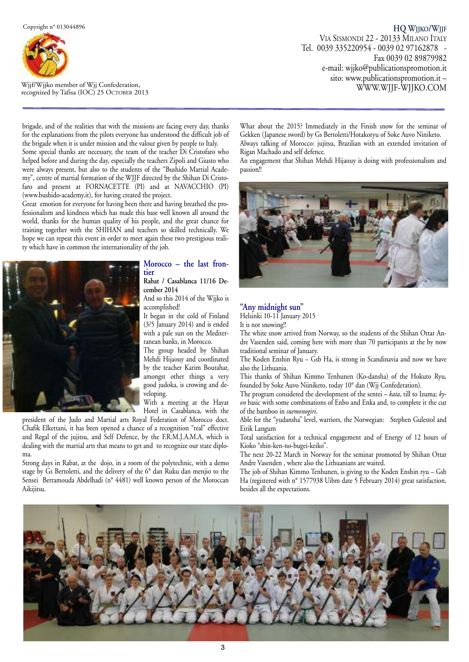

recognized by Tafisa (IOC) 25 OCTOBER 20 Wjjf/Wjjko member of Wjj Confederation,

brigade, and of the realities that with the missions are facing every day, thanks for the explanations from the pilots everyone has understood the difficult job of the brigade when it is under mission and the valour given by people to Italy.

Some special thanks are necessary, the team of the teacher Di Cristofaro who helped before and during the day, especially the teachers Zipoli and Giusto who were always present, but also to the students of the "Bushido Martial Academy", centre of martial formation of the WJJF directed by the Shihan Di Cristofaro and present at FORNACETTE (PI) and at NAVACCHIO (PI) (www.bushido-academy.it), for having created the project.

Great emotion for everyone for having been there and having breathed the professionalism and kindness which has made this base well known all around the world, thanks for the human quality of his people, and the great chance for training together with the SHIHAN and teachers so skilled technically. We hope we can repeat this event in order to meet again these two prestigious reality which have in common the internationality of the job.



#### **Morocco – the last fron tier**

#### **Rabat / Casablanca 11/16 December 2014**

And so this 2014 of the Wjjko is accomplished!

It began in the cold of Finland (3/5 January 2014) and is ended with a pale sun on the Mediterranean banks, in Morocco.

The group headed by Shihan Mehdi Hijaouy and coordinated by the teacher Karim Boutahar, amongst other things a very good judoka, is crowing and developing.

With a meeting at the Hayat Hotel in Casablanca, with the

president of the Judo and Martial arts Royal Federation of Morocco doct. Chafik Elkettani, it has been opened a chance of a recognition "real" effective and Regal of the jujitsu, and Self Defence, by the F.R.M.J.A.M.A, which is dealing with the martial arts that means to get and to recognize our state diploma.

Strong days in Rabat, at the dojo, in a room of the polytechnic, with a demo stage by Gs Bertoletti, and the delivery of the 6° dan Ruku dan menjio to the Sensei Berramouda Abdelhadi (nº 4481) well known person of the Moroccan Aikijitsu.

What about the 2015? Immediately in the Finish snow for the seminar of Gekken (Japanese sword) by Gs Bertoletti/Hotakoryu of Soke Auvo Niniketo. Always talking of Morocco: jujitsu, Brazilian with an extended invitation of Rigan Machado and self defence.

An engagement that Shihan Mehdi Hijaouy is doing with professionalism and passion!!



#### **"Any midnight sun"**

Helsinki 10-11 January 2015

It is not snowing!!

The white snow arrived from Norway, so the students of the Shihan Ottar Andre Vasenden said, coming here with more than 70 participants at the by now traditional seminar of January.

The Koden Enshin Ryu – Gsb Ha, is strong in Scandinavia and now we have also the Lithuania.

This thanks of Shihan Kimmo Tenhunen (Ko-dansha) of the Hokuto Ryu, founded by Soke Auvo Niiniketo, today 10° dan (Wjj Confederation).

The program considered the development of the sentei *– kata*, till to Izuma; *kyon* basic with some combinations of Enbo and Enka and, to complete it the cut of the bamboo in *suemonogiri*.

Able for the "yudansha" level, warriors, the Norwegian: Stephen Gulestol and Eirik Langum

Total satisfaction for a technical engagement and of Energy of 12 hours of Kioko "shin-ken-no-bugei-keiko".

The next 20-22 March in Norway for the seminar promoted by Shihan Ottar Andre Vasenden , where also the Lithuanians are waited.

The job of Shihan Kimmo Tenhunen, is giving to the Koden Enshin ryu – Gsb Ha (registered with n° 1577938 Uibm date 5 February 2014) great satisfaction, besides all the expectations.

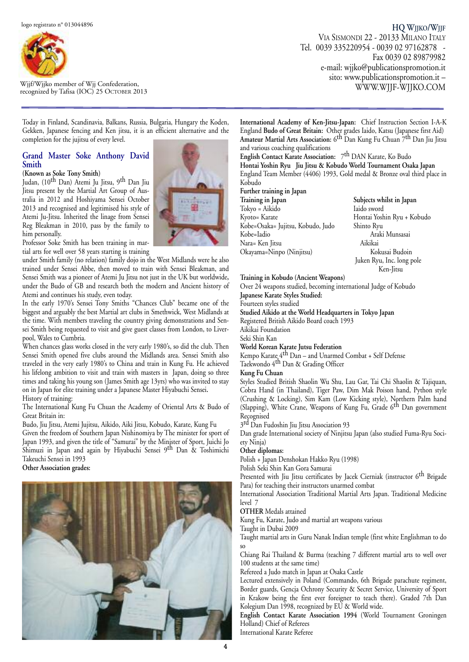

Wjjf/Wjjko member of Wjj Confederation, recognized by Tafisa (IOC) 25 OCTOBER 2013

**HQ WJJKO/WJJF** VIA SISMONDI 22 - 20133 MILANO ITALY Tel. 0039 335220954 - 0039 02 97162878 - Fax 0039 02 89879982 e-mail: wjjko@publicationspromotion.it sito: www.publicationspromotion.it – WWW.WJJF-WJJKO.COM

Today in Finland, Scandinavia, Balkans, Russia, Bulgaria, Hungary the Koden, Gekken, Japanese fencing and Ken jitsu, it is an efficient alternative and the completion for the jujitsu of every level.

#### **Grand Master Soke Anthony David Smith**

**(Known as Soke Tony Smith)** Judan, (10th Dan) Atemi Ju Jitsu, 9th Dan Jiu

Jitsu present by the Martial Art Group of Australia in 2012 and Hoshiyama Sensei October 2013 and recognised and legitimised his style of Atemi Ju-Jitsu. Inherited the linage from Sensei Reg Bleakman in 2010, pass by the family to him personally.



under Smith family (no relation) family dojo in the West Midlands were he also trained under Sensei Abbe, then moved to train with Sensei Bleakman, and Sensei Smith was a pioneer of Atemi Ju Jitsu not just in the UK but worldwide**,** under the Budo of GB and research both the modern and Ancient history of Atemi and continues his study, even today.

In the early 1970's Sensei Tony Smiths "Chances Club" became one of the biggest and arguably the best Martial art clubs in Smethwick, West Midlands at the time. With members traveling the country giving demonstrations and Sensei Smith being requested to visit and give guest classes from London, to Liverpool, Wales to Cumbria.

When chances glass works closed in the very early 1980's, so did the club. Then Sensei Smith opened five clubs around the Midlands area. Sensei Smith also traveled in the very early 1980's to China and train in Kung Fu. He achieved his lifelong ambition to visit and train with masters in Japan, doing so three times and taking his young son (James Smith age 13yrs) who was invited to stay on in Japan for elite training under a Japanese Master Hiyabuchi Sensei**.** History of training:

The International Kung Fu Chuan the Academy of Oriental Arts & Budo of Great Britain in:

Budo, Jiu Jitsu, Atemi Jujitsu, Aikido, Aiki Jitsu, Kobudo, Karate, Kung Fu Given the freedom of Southern Japan Nishinomiya by The minister for sport of Japan 1993, and given the title of "Samurai" by the Minister of Sport, Juichi Jo Shimuzi in Japan and again by Hiyabuchi Sensei 9th Dan & Toshimichi Takeuchi Sensei in 1993

**Other Association grades:**





**International Academy of Ken-Jitsu-Japan:** Chief Instruction Section I-A-K England **Budo of Great Britain:** Other grades Iaido, Katsu (Japanese first Aid) **Amateur Martial Arts Association:** 6th Dan Kung Fu Chuan 7th Dan Jiu Jitsu and various coaching qualifications

**English Contact Karate Association:** 7th DAN Karate, Ko Budo **Hontai Yoshin Ryu Jiu Jitsu & Kobudo World Tournament Osaka Japan** England Team Member (4406) 1993, Gold medal & Bronze oval third place in Kobudo

**Further training in Japan Training in Japan Subjects whilst in Japan** Tokyo = Aikido Iaido sword Kobe=Osaka= Jujitsu, Kobudo, Judo Shinto Ryu Kobe=Iadio Araki Munsasai Nara= Ken Jitsu Aikikai Okayama=Ninpo (Ninjitsu) Kokusai Budoin

Hontai Yoshin Ryu + Kobudo Juken Ryu, Inc. long pole Ken-Jitsu

#### **Training in Kobudo (Ancient Weapons)**

Over 24 weapons studied, becoming international Judge of Kobudo

**Japanese Karate Styles Studied:** Fourteen styles studied

**Studied Aikido at the World Headquarters in Tokyo Japan**

Registered British Aikido Board coach 1993

Aikikai Foundation

Seki Shin Kan

**World Korean Karate Jutsu Federation** Kempo Karate 4th Dan – and Unarmed Combat + Self Defense

Taekwondo 4th Dan & Grading Officer

#### **Kung Fu Chuan**

Styles Studied British Shaolin Wu Shu, Lau Gar, Tai Chi Shaolin & Tajiquan, Cobra Hand (in Thailand), Tiger Paw, Dim Mak Poison hand, Python style (Crushing & Locking), Sim Kam (Low Kicking style), Northern Palm hand (Slapping), White Crane, Weapons of Kung Fu, Grade 6th Dan government Recognised

3<sup>rd</sup> Dan Fudoshin Jiu Jitsu Association 93

Dan grade International society of Ninjitsu Japan (also studied Fuma-Ryu Society Ninja)

#### **Other diplomas:**

Polish + Japan Denshokan Hakko Ryu (1998)

Polish Seki Shin Kan Gora Samurai

Presented with Jiu Jitsu certificates by Jacek Cierniak (instructor 6<sup>th</sup> Brigade Para) for teaching their instructors unarmed combat

International Association Traditional Martial Arts Japan. Traditional Medicine level 7

**OTHER** Medals attained

Kung Fu, Karate, Judo and martial art weapons various

Taught in Dubai 2009

Taught martial arts in Guru Nanak Indian temple (first white Englishman to do so

Chiang Rai Thailand & Burma (teaching 7 different martial arts to well over 100 students at the same time)

Refereed a Judo match in Japan at Osaka Castle

Lectured extensively in Poland (Commando, 6th Brigade parachute regiment, Border guards, Gencja Ochrony Security & Secret Service, University of Sport in Krakow being the first ever foreigner to teach there). Graded 7th Dan Kolegium Dan 1998, recognized by EU & World wide.

**English Contact Karate Association 1994** (World Tournament Groningen Holland) Chief of Referees

International Karate Referee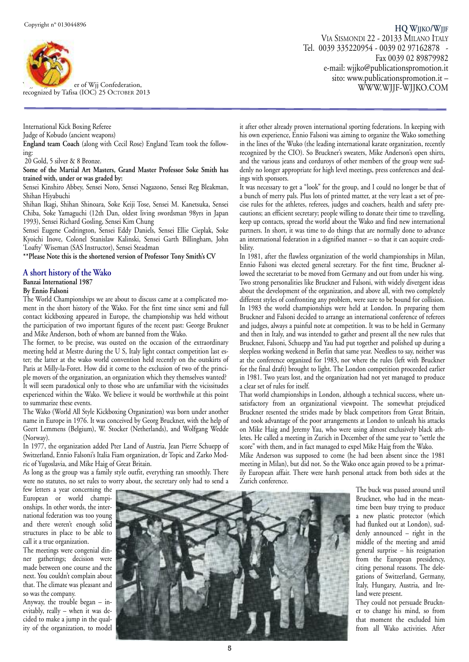

recognized by Tafisa (IOC) 25 OCTOBER 20 er of Wjj Confederation,

International Kick Boxing Referee Judge of Kobudo (ancient weapons)

**England team Coach** (along with Cecil Rose) England Team took the following:

20 Gold, 5 silver & 8 Bronze.

**Some of the Martial Art Masters, Grand Master Professor Soke Smith has trained with, under or was graded by:**

Sensei Kinshiro Abbey, Sensei Noro, Sensei Nagazono, Sensei Reg Bleakman, Shihan Hiyabuchi

Shihan Ikagi, Shihan Shinoara, Soke Keiji Tose, Sensei M. Kanetsuka, Sensei Chiba, Soke Yamaguchi (12th Dan, oldest living swordsman 98yrs in Japan 1993), Sensei Richard Gosling, Sensei Kim Chung

Sensei Eugene Codrington, Sensei Eddy Daniels, Sensei Ellie Cieplak, Soke Kyoichi Inove, Colonel Stanislaw Kalinski, Sensei Garth Billingham, John 'Loafty' Wiseman (SAS Instructor), Sensei Steadman

**\*\*Please Note this is the shortened version of Professor Tony Smith's CV**

#### **A short history of the Wako**

#### **Banzai International 1987**

#### **By Ennio Falsoni**

The World Championships we are about to discuss came at a complicated moment in the short history of the Wako. For the first time since semi and full contact kickboxing appeared in Europe, the championship was held without the participation of two important figures of the recent past: George Brukner and Mike Anderson, both of whom are banned from the Wako.

The former, to be precise, was ousted on the occasion of the extraordinary meeting held at Mestre during the U S, Italy light contact competition last ester; the latter at the wako world convention held recently on the outskirts of Paris at Milly-la-Foret. How did it come to the exclusion of two of the principle movers of the organization, an organization which they themselves wanted? It will seem paradoxical only to those who are unfamiliar with the vicissitudes experienced within the Wako. We believe it would be worthwhile at this point to summarize these events.

The Wako (World All Style Kickboxing Organization) was born under another name in Europe in 1976. It was conceived by Georg Bruckner, with the help of Geert Lemmens (Belgium), W. Stocker (Netherlands), and Wolfgang Wedde (Norway).

In 1977, the organization added Pter Land of Austria, Jean Pierre Schuepp of Switzerland, Ennio Falsoni's Italia Fiam organization, dr Topic and Zarko Modric of Yugoslavia, and Mike Haig of Great Britain.

As long as the group was a family style outfit, everything ran smoothly. There were no statutes, no set rules to worry about, the secretary only had to send a

**HQ WJJKO/WJJF** VIA SISMONDI 22 - 20133 MILANO ITALY Tel. 0039 335220954 - 0039 02 97162878 - Fax 0039 02 89879982 e-mail: wjjko@publicationspromotion.it sito: www.publicationspromotion.it – <sup>13</sup> WWW.WJJF-WJJKO.COM

it after other already proven international sporting federations. In keeping with his own experience, Ennio Falsoni was aiming to organize the Wako something in the lines of the Wuko (the leading international karate organization, recently recognized by the CIO). So Bruckner's sweaters, Mike Anderson's open shirts, and the various jeans and corduroys of other members of the group were suddenly no longer appropriate for high level meetings, press conferences and dealings with sponsors.

It was necessary to get a "look" for the group, and I could no longer be that of a bunch of merry pals. Plus lots of printed matter, at the very least a set of precise rules for the athletes, referees, judges and coachers, health and safety precautions; an efficient secretary; people willing to donate their time to travelling, keep up contacts, spread the world about the Wako and find new international partners. In short, it was time to do things that are normally done to advance an international federation in a dignified manner – so that it can acquire credibility.

In 1981, after the flawless organization of the world championships in Milan, Ennio Falsoni was elected general secretary. For the first time, Bruckner allowed the secretariat to be moved from Germany and out from under his wing. Two strong personalities like Bruckner and Falsoni, with widely divergent ideas about the development of the organization, and above all, with two completely different styles of confronting any problem, were sure to be bound for collision. In 1983 the world championships were held at London. In preparing them Bruckner and Falsoni decided to arrange an international conference of referees and judges, always a painful note at competition. It was to be held in Germany and then in Italy, and was intended to gather and present all the new rules that Bruckner, Falsoni, Schuepp and Yau had put together and polished up during a sleepless working weekend in Berlin that same year. Needless to say, neither was at the conference organized for 1983, nor where the rules (left with Bruckner for the final draft) brought to light. The London competition proceeded earlier in 1981. Two years lost, and the organization had not yet managed to produce a clear set of rules for itself.

That world championships in London, although a technical success, where unsatisfactory from an organizational viewpoint. The somewhat prejudiced Bruckner resented the strides made by black competitors from Great Britain, and took advantage of the poor arrangements at London to unleash his attacks on Mike Haig and Jeremy Yau, who were using almost exclusively black athletes. He called a meeting in Zurich in December of the same year to "settle the score" with them, and in fact managed to expel Mike Haig from the Wako.

Mike Anderson was supposed to come (he had been absent since the 1981 meeting in Milan), but did not. So the Wako once again proved to be a primarily European affair. There were harsh personal attack from both sides at the Zurich conference.

few letters a year concerning the European or world championships. In other words, the international federation was too young and there weren't enough solid structures in place to be able to call it a true organization.

The meetings were congenial dinner gatherings; decision were made between one course and the next. You couldn't complain about that. The climate was pleasant and so was the company.

Anyway, the trouble began – inevitably, really – when it was decided to make a jump in the quality of the organization, to model



The buck was passed around until Bruckner, who had in the meantime been busy trying to produce a new plastic protector (which had flunked out at London), suddenly announced – right in the middle of the meeting and amid general surprise – his resignation from the European presidency, citing personal reasons. The delegations of Switzerland, Germany, Italy, Hungary, Austria, and Ireland were present.

They could not persuade Bruckner to change his mind, so from that moment the excluded him from all Wako activities. After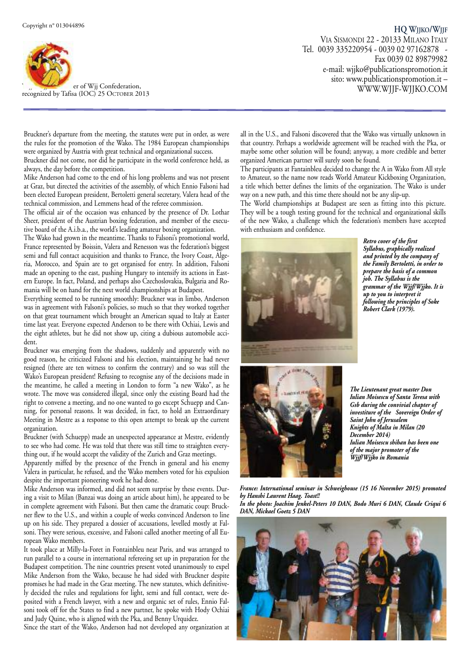

recognized by Tafisa (IOC) 25 OCTOBER 20 er of Wjj Confederation,

**HQ WJJKO/WJJF** VIA SISMONDI 22 - 20133 MILANO ITALY Tel. 0039 335220954 - 0039 02 97162878 - Fax 0039 02 89879982 e-mail: wjjko@publicationspromotion.it sito: www.publicationspromotion.it – <sup>13</sup> WWW.WJJF-WJJKO.COM

Bruckner's departure from the meeting, the statutes were put in order, as were the rules for the promotion of the Wako. The 1984 European championships were organized by Austria with great technical and organizational success.

Bruckner did not come, nor did he participate in the world conference held, as always, the day before the competition.

Mike Anderson had come to the end of his long problems and was not present at Graz, but directed the activities of the assembly, of which Ennio Falsoni had been elected European president, Bertoletti general secretary, Valera head of the technical commission, and Lemmens head of the referee commission.

The official air of the occasion was enhanced by the presence of Dr. Lothar Sheer, president of the Austrian boxing federation, and member of the executive board of the A.i.b.a., the world's leading amateur boxing organization.

The Wako had grown in the meantime. Thanks to Falsoni's promotional world, France represented by Boissin, Valera and Renesson was the federation's biggest semi and full contact acquisition and thanks to France, the Ivory Coast, Algeria, Morocco, and Spain are to get organised for entry. In addition, Falsoni made an opening to the east, pushing Hungary to intensify its actions in Eastern Europe. In fact, Poland, and perhaps also Czechoslovakia, Bulgaria and Romania will be on hand for the next world championships at Budapest.

Everything seemed to be running smoothly: Bruckner was in limbo, Anderson was in agreement with Falsoni's policies, so much so that they worked together on that great tournament which brought an American squad to Italy at Easter time last year. Everyone expected Anderson to be there with Ochiai, Lewis and the eight athletes, but he did not show up, citing a dubious automobile accident.

Bruckner was emerging from the shadows, suddenly and apparently with no good reason, he criticized Falsoni and his election, maintaining he had never resigned (there are ten witness to confirm the contrary) and so was still the Wako's European president! Refusing to recognise any of the decisions made in the meantime, he called a meeting in London to form "a new Wako", as he wrote. The move was considered illegal, since only the existing Board had the right to convene a meeting, and no one wanted to go except Schuepp and Canning, for personal reasons. It was decided, in fact, to hold an Extraordinary Meeting in Mestre as a response to this open attempt to break up the current organization.

Bruckner (with Schuepp) made an unexpected appearance at Mestre, evidently to see who had come. He was told that there was still time to straighten everything out, if he would accept the validity of the Zurich and Graz meetings.

Apparently miffed by the presence of the French in general and his enemy Valera in particular, he refused, and the Wako members voted for his expulsion despite the important pioneering work he had done.

Mike Anderson was informed, and did not seem surprise by these events. During a visit to Milan (Banzai was doing an article about him), he appeared to be in complete agreement with Falsoni. But then came the dramatic coup: Bruckner flew to the U.S., and within a couple of weeks convinced Anderson to line up on his side. They prepared a dossier of accusations, levelled mostly at Falsoni. They were serious, excessive, and Falsoni called another meeting of all European Wako members.

It took place at Milly-la-Foret in Fontainbleu near Paris, and was arranged to run parallel to a course in international refereeing set up in preparation for the Budapest competition. The nine countries present voted unanimously to expel Mike Anderson from the Wako, because he had sided with Bruckner despite promises he had made in the Graz meeting. The new statutes, which definitively decided the rules and regulations for light, semi and full contact, were deposited with a French lawyer, with a new and organic set of rules, Ennio Falsoni took off for the States to find a new partner, he spoke with Hody Ochiai and Judy Quine, who is aligned with the Pka, and Benny Urquidez.

Since the start of the Wako, Anderson had not developed any organization at

all in the U.S., and Falsoni discovered that the Wako was virtually unknown in that country. Perhaps a worldwide agreement will be reached with the Pka, or maybe some other solution will be found; anyway, a more credible and better organized American partner will surely soon be found.

The participants at Fantainbleu decided to change the A in Wako from All style to Amateur, so the name now reads World Amateur Kickboxing Organization, a title which better defines the limits of the organization. The Wako is under way on a new path, and this time there should not be any slip-up.

The World championships at Budapest are seen as fitting into this picture. They will be a tough testing ground for the technical and organizational skills of the new Wako, a challenge which the federation's members have accepted with enthusiasm and confidence.



*Retro cover of the first Syllabus, graphically realized and printed by the company of the Family Bertoletti, in order to prepare the basis of a common job. The Syllabus is the grammar of the Wjjf/Wjjko. It is up to you to interpret it following the principles of Soke Robert Clark (1979).*



*The Lieutenant great master Don Iulian Moisescu of Santa Teresa with Gsb during the convivial chapter of investiture of the Sovereign Order of Saint John of Jerusalem Knights of Malta in Milan (20 December 2014) Iulian Moisescu shihan has been one of the major promoter of the Wjjf/Wjjko in Romania*

*France: International seminar in Schweighouse (15 16 November 2015) promoted by Hanshi Laurent Haag. Toast!! In the photo: Joachim Jenkel-Peters 10 DAN, Bodo Muri 6 DAN, Claude Criqui 6*



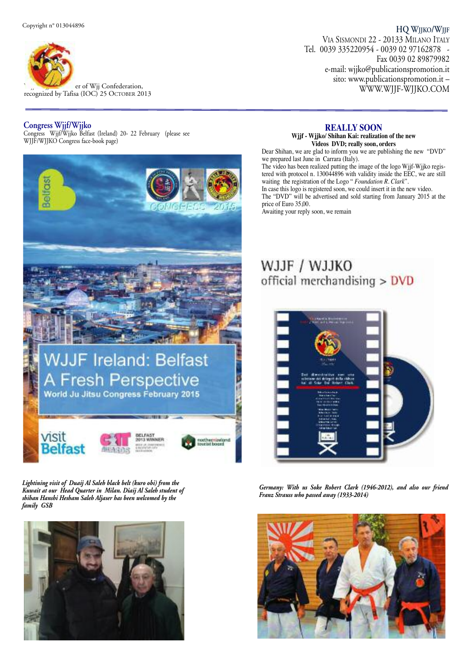

r W ec j o jf g / n W iz j e jk d o b m y T em `afisa (IOC) 25 OCTOBER 20 er of Wjj Confederation,

#### **Congress Wjjf/Wjjko**

Congress Wjjf/Wjjko Belfast (Ireland) 20- 22 February (please see WJJF/WJJKO Congress face-book page)



*Lightining visit of Duaij Al Saleh black belt (kuro obi) from the Kuwait at our Head Quarter in Milan. Diaij Al Saleh student of shihan Hanshi Hesham Saleh Aljaser has been welcomed by the family GSB*



**HQ WJJKO/WJJF** VIA SISMONDI 22 - 20133 MILANO ITALY Tel. 0039 335220954 - 0039 02 97162878 - Fax 0039 02 89879982 e-mail: wjjko@publicationspromotion.it sito: www.publicationspromotion.it – <sup>13</sup> WWW.WJJF-WJJKO.COM

#### **REALLY SOON**

**Wjjf - Wjjko/ Shihan Kai: realization of the new Videos DVD; really soon, orders**

Dear Shihan, we are glad to inform you we are publishing the new "DVD" we prepared last June in Carrara (Italy). The video has been realized putting the image of the logo Wjjf-Wjjko registered with protocol n. 130044896 with validity inside the EEC, we are still waiting the registration of the Logo " *Foundation R. Clark*". In case this logo is registered soon, we could insert it in the new video. The "DVD" will be advertised and sold starting from January 2015 at the price of Euro 35,00.

Awaiting your reply soon, we remain

## WJJF / WJJKO official merchandising > DVD



*Germany: With us Soke Robert Clark (1946-2012), and also our friend Franz Strauss who passed away (1933-2014)*

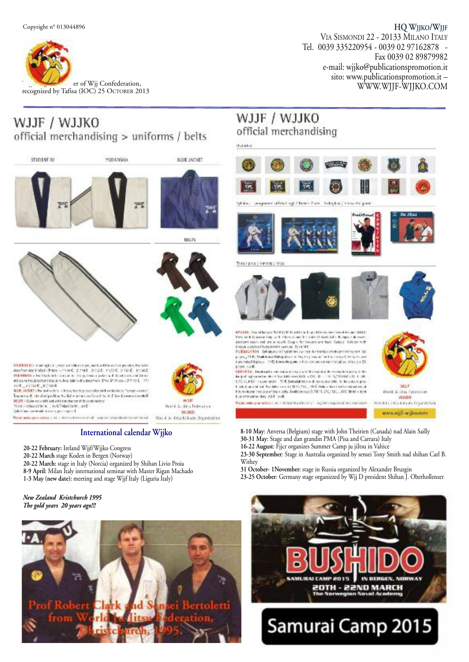

# WJJF / WJJKO

official merchandising > uniforms / belts





**BLUE JACKET** 





WH

World Ju-Atra Federation WINO

Wer if Je-Jitsu Kokado Deparktation

**BECTS** 

**MIDENT R**EL then sight a protection of the car per, and confidentially performance and interactional performance of the Carolina Carolina (2004). The state of the control of the control of the control of the control of t ation on the latter to see the local to be about the Theory 2010 L  $\sim$  2010 L  $\sim$  2010 L  $\sim$  2010 L  $\sim$  2010 L  $\sim$  2010 L  $\sim$  2010 L  $\sim$  2010 L  $\sim$  2010 L  $\sim$  2010 L  $\sim$  2010 L  $\sim$  2010 L  $\sim$  2010 L  $\sim$  2010

 $\overline{\text{NELTS}} \sim \text{Coker}$  and  $\text{Coker}$  and  $\text{Coker}$  is the contribution of the contribution of the contribution of the contribution of the contribution of the contribution of the contribution of the contribution of the contrib

Note the procedure of a maximum stand, representationing analysis

#### **International calendar Wjjko**

- **20-22 February:** Ireland Wjjf/Wjjko Congress
- **20-22 March** stage Koden in Bergen (Norway)
- **20-22 March:** stage in Italy (Norcia) organized by Shihan Livio Proia
- **8-9 April:** Milan Italy international seminar with Master Rigan Machado
- **1-3 May (new date):** meeting and stage Wjjf Italy (Liguria Italy)

#### *New Zealand Kristchurch 1995 The gold years 20 years ago!!!*



### WJJF / WJJKO official merchandising



WILD lelem item instrucced the codit Anitological SAMPL (31, 201, 102, Shirt - 109) but also show that it coll. World Ju-Thu, Federation WILLO Вые неужнем язы и вользования принярховно верхи ind Justinia Abbailo Digai McDon

www.wijf-wijksvam

- **8-10 May**: Anversa (Belgium) stage with John Theirien (Canada) nad Alain Sailly **30-31 May**: Stage and dan grandin PMA (Pisa and Carrara) Italy
- **16-22 August**: Fjjcr organizes Summer Camp ju jiItsu in Valtice

**23-30 September**: Stage in Australia organized by sensei Tony Smith nad shihan Carl B. Withey

- **31 October- 1November:** stage in Russia organized by Alexander Bruzgin
- 23-25 October: Germany stage organizzed by Wjj D president Shihan J. Oberhollenzer